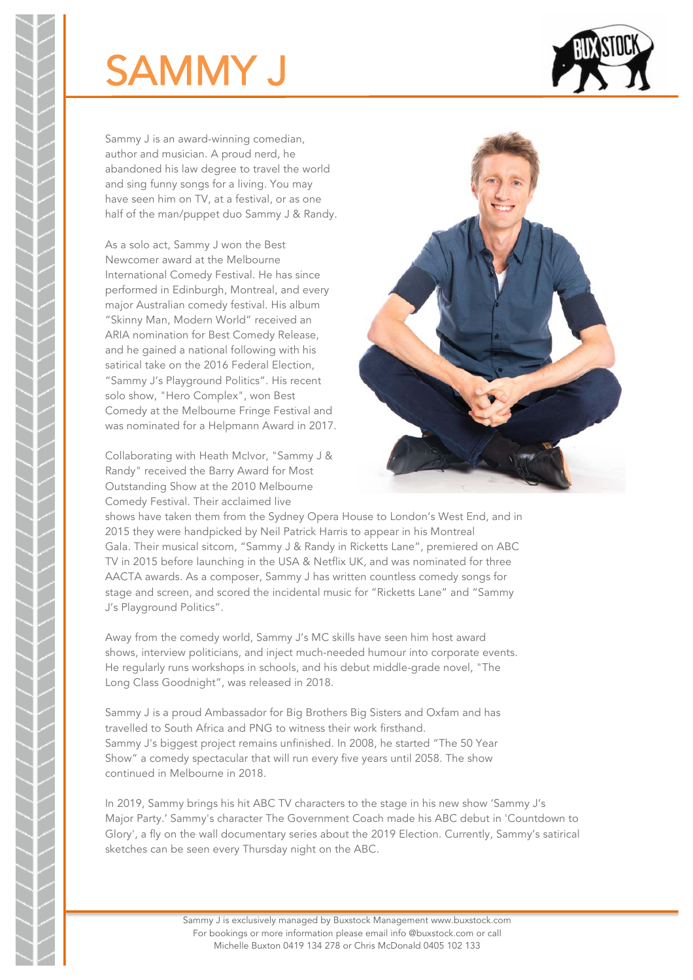## SAMMY J



Sammy J is an award-winning comedian, author and musician. A proud nerd, he abandoned his law degree to travel the world and sing funny songs for a living. You may have seen him on TV, at a festival, or as one half of the man/puppet duo Sammy J & Randy.

As a solo act, Sammy J won the Best Newcomer award at the Melbourne International Comedy Festival. He has since performed in Edinburgh, Montreal, and every major Australian comedy festival. His album "Skinny Man, Modern World" received an ARIA nomination for Best Comedy Release, and he gained a national following with his satirical take on the 2016 Federal Election, "Sammy J's Playground Politics". His recent solo show, "Hero Complex", won Best Comedy at the Melbourne Fringe Festival and was nominated for a Helpmann Award in 2017.

Collaborating with Heath McIvor, "Sammy J & Randy" received the Barry Award for Most Outstanding Show at the 2010 Melbourne Comedy Festival. Their acclaimed live



shows have taken them from the Sydney Opera House to London's West End, and in 2015 they were handpicked by Neil Patrick Harris to appear in his Montreal Gala. Their musical sitcom, "Sammy J & Randy in Ricketts Lane", premiered on ABC TV in 2015 before launching in the USA & Netflix UK, and was nominated for three AACTA awards. As a composer, Sammy J has written countless comedy songs for stage and screen, and scored the incidental music for "Ricketts Lane" and "Sammy J's Playground Politics".

Away from the comedy world, Sammy J's MC skills have seen him host award shows, interview politicians, and inject much-needed humour into corporate events. He regularly runs workshops in schools, and his debut middle-grade novel, "The Long Class Goodnight", was released in 2018.

Sammy J is a proud Ambassador for Big Brothers Big Sisters and Oxfam and has travelled to South Africa and PNG to witness their work firsthand. Sammy J's biggest project remains unfinished. In 2008, he started "The 50 Year Show" a comedy spectacular that will run every five years until 2058. The show continued in Melbourne in 2018.

In 2019, Sammy brings his hit ABC TV characters to the stage in his new show 'Sammy J's Major Party.' Sammy's character The Government Coach made his ABC debut in 'Countdown to Glory', a fly on the wall documentary series about the 2019 Election. Currently, Sammy's satirical sketches can be seen every Thursday night on the ABC.